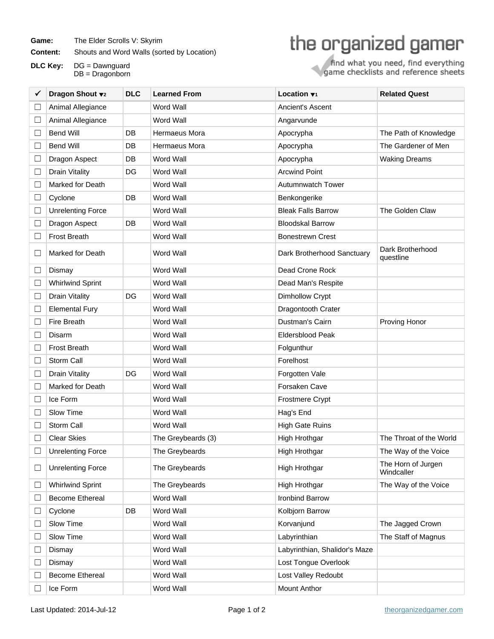Game: The Elder Scrolls V: Skyrim

**Content:** Shouts and Word Walls (sorted by Location)

**DLC Key:** DG = Dawnguard DB = Dragonborn

## the organized gamer

find what you need, find everything<br>game checklists and reference sheets

|        | Dragon Shout v2          | <b>DLC</b> | <b>Learned From</b> | Location $\blacktriangledown_1$ | <b>Related Quest</b>             |
|--------|--------------------------|------------|---------------------|---------------------------------|----------------------------------|
|        | Animal Allegiance        |            | <b>Word Wall</b>    | Ancient's Ascent                |                                  |
| $\Box$ | Animal Allegiance        |            | Word Wall           | Angarvunde                      |                                  |
| $\Box$ | <b>Bend Will</b>         | DB         | Hermaeus Mora       | Apocrypha                       | The Path of Knowledge            |
| $\Box$ | <b>Bend Will</b>         | <b>DB</b>  | Hermaeus Mora       | Apocrypha                       | The Gardener of Men              |
| $\Box$ | Dragon Aspect            | DB         | Word Wall           | Apocrypha                       | <b>Waking Dreams</b>             |
| $\Box$ | <b>Drain Vitality</b>    | DG         | Word Wall           | <b>Arcwind Point</b>            |                                  |
| $\Box$ | Marked for Death         |            | Word Wall           | <b>Autumnwatch Tower</b>        |                                  |
| $\Box$ | Cyclone                  | DB         | Word Wall           | Benkongerike                    |                                  |
| $\Box$ | <b>Unrelenting Force</b> |            | Word Wall           | <b>Bleak Falls Barrow</b>       | The Golden Claw                  |
| $\Box$ | Dragon Aspect            | <b>DB</b>  | Word Wall           | <b>Bloodskal Barrow</b>         |                                  |
| $\Box$ | <b>Frost Breath</b>      |            | Word Wall           | <b>Bonestrewn Crest</b>         |                                  |
| $\Box$ | Marked for Death         |            | Word Wall           | Dark Brotherhood Sanctuary      | Dark Brotherhood<br>questline    |
| $\Box$ | Dismay                   |            | Word Wall           | Dead Crone Rock                 |                                  |
| $\Box$ | <b>Whirlwind Sprint</b>  |            | Word Wall           | Dead Man's Respite              |                                  |
| $\Box$ | <b>Drain Vitality</b>    | DG         | <b>Word Wall</b>    | Dimhollow Crypt                 |                                  |
| $\Box$ | <b>Elemental Fury</b>    |            | Word Wall           | Dragontooth Crater              |                                  |
| $\Box$ | Fire Breath              |            | Word Wall           | Dustman's Cairn                 | Proving Honor                    |
| $\Box$ | Disarm                   |            | <b>Word Wall</b>    | Eldersblood Peak                |                                  |
| $\Box$ | <b>Frost Breath</b>      |            | Word Wall           | Folgunthur                      |                                  |
| $\Box$ | Storm Call               |            | Word Wall           | Forelhost                       |                                  |
| $\Box$ | <b>Drain Vitality</b>    | DG         | <b>Word Wall</b>    | Forgotten Vale                  |                                  |
| $\Box$ | Marked for Death         |            | Word Wall           | Forsaken Cave                   |                                  |
| $\Box$ | Ice Form                 |            | Word Wall           | <b>Frostmere Crypt</b>          |                                  |
| $\Box$ | Slow Time                |            | Word Wall           | Hag's End                       |                                  |
| L      | Storm Call               |            | Word Wall           | <b>High Gate Ruins</b>          |                                  |
|        | <b>Clear Skies</b>       |            | The Greybeards (3)  | High Hrothgar                   | The Throat of the World          |
|        | <b>Unrelenting Force</b> |            | The Greybeards      | High Hrothgar                   | The Way of the Voice             |
| □      | <b>Unrelenting Force</b> |            | The Greybeards      | High Hrothgar                   | The Horn of Jurgen<br>Windcaller |
| ⊔      | <b>Whirlwind Sprint</b>  |            | The Greybeards      | High Hrothgar                   | The Way of the Voice             |
| $\Box$ | <b>Become Ethereal</b>   |            | Word Wall           | Ironbind Barrow                 |                                  |
| $\Box$ | Cyclone                  | DB         | Word Wall           | Kolbjorn Barrow                 |                                  |
| $\Box$ | Slow Time                |            | Word Wall           | Korvanjund                      | The Jagged Crown                 |
| $\Box$ | Slow Time                |            | Word Wall           | Labyrinthian                    | The Staff of Magnus              |
| $\Box$ | Dismay                   |            | Word Wall           | Labyrinthian, Shalidor's Maze   |                                  |
| $\Box$ | Dismay                   |            | Word Wall           | Lost Tongue Overlook            |                                  |
|        | <b>Become Ethereal</b>   |            | Word Wall           | Lost Valley Redoubt             |                                  |
| $\Box$ | Ice Form                 |            | Word Wall           | Mount Anthor                    |                                  |